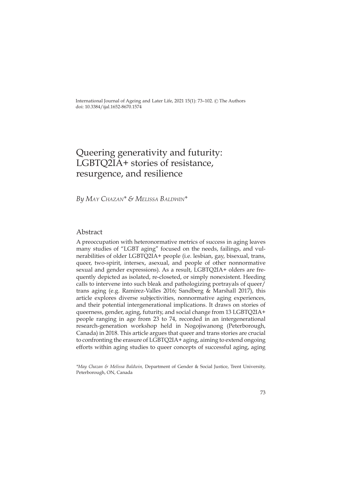International Journal of Ageing and Later Life, 2021 15(1): 73-102. © The Authors doi: 10.3384/ijal.1652-8670.1574

# Queering generativity and futurity: LGBTQ2IA+ stories of resistance, resurgence, and resilience

*By May Chazan\* & Melissa Baldwin\**

## Abstract

A preoccupation with heteronormative metrics of success in aging leaves many studies of "LGBT aging" focused on the needs, failings, and vulnerabilities of older LGBTQ2IA+ people (i.e. lesbian, gay, bisexual, trans, queer, two-spirit, intersex, asexual, and people of other nonnormative sexual and gender expressions). As a result, LGBTQ2IA+ olders are frequently depicted as isolated, re-closeted, or simply nonexistent. Heeding calls to intervene into such bleak and pathologizing portrayals of queer/ trans aging (e.g. Ramirez-Valles 2016; Sandberg & Marshall 2017), this article explores diverse subjectivities, nonnormative aging experiences, and their potential intergenerational implications. It draws on stories of queerness, gender, aging, futurity, and social change from 13 LGBTQ2IA+ people ranging in age from 23 to 74, recorded in an intergenerational research-generation workshop held in Nogojiwanong (Peterborough, Canada) in 2018. This article argues that queer and trans stories are crucial to confronting the erasure of LGBTQ2IA+ aging, aiming to extend ongoing efforts within aging studies to queer concepts of successful aging, aging

*\*May Chazan & Melissa Baldwin,* Department of Gender & Social Justice, Trent University, Peterborough, ON, Canada

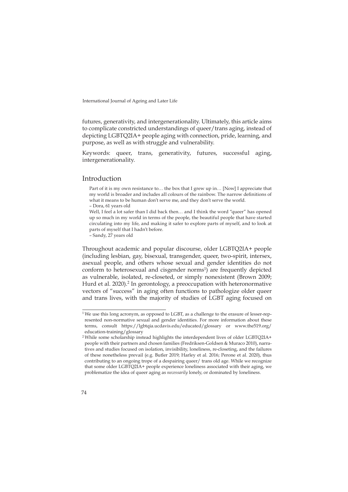futures, generativity, and intergenerationality. Ultimately, this article aims to complicate constricted understandings of queer/trans aging, instead of depicting LGBTQ2IA+ people aging with connection, pride, learning, and purpose, as well as with struggle and vulnerability.

Keywords: queer, trans, generativity, futures, successful aging, intergenerationality.

#### Introduction

Part of it is my own resistance to… the box that I grew up in… [Now] I appreciate that my world is broader and includes all colours of the rainbow. The narrow definitions of what it means to be human don't serve me, and they don't serve the world. – Dora, 61 years old

Well, I feel a lot safer than I did back then… and I think the word "queer" has opened up so much in my world in terms of the people, the beautiful people that have started circulating into my life, and making it safer to explore parts of myself, and to look at parts of myself that I hadn't before.

– Sandy, 27 years old

Throughout academic and popular discourse, older LGBTQ2IA+ people (including lesbian, gay, bisexual, transgender, queer, two-spirit, intersex, asexual people, and others whose sexual and gender identities do not conform to heterosexual and cisgender norms<sup>1</sup>) are frequently depicted as vulnerable, isolated, re-closeted, or simply nonexistent (Brown 2009; Hurd et al. 2020).<sup>2</sup> In gerontology, a preoccupation with heteronormative vectors of "success" in aging often functions to pathologize older queer and trans lives, with the majority of studies of LGBT aging focused on

<sup>&</sup>lt;sup>1</sup>We use this long acronym, as opposed to LGBT, as a challenge to the erasure of lesser-represented non-normative sexual and gender identities. For more information about these terms, consult <https://lgbtqia.ucdavis.edu/educated/glossary> or [www.the519.org/](http://www.the519.org/education-training/glossary) [education-training/glossary](http://www.the519.org/education-training/glossary)

<sup>2</sup> While some scholarship instead highlights the interdependent lives of older LGBTQ2IA+ people with their partners and chosen families (Fredriksen-Goldsen & Muraco 2010), narratives and studies focused on isolation, invisibility, loneliness, re-closeting, and the failures of these nonetheless prevail (e.g. Butler 2019; Harley et al. 2016; Perone et al. 2020), thus contributing to an ongoing trope of a despairing queer/ trans old age. While we recognize that some older LGBTQ2IA+ people experience loneliness associated with their aging, we problematize the idea of queer aging as *necessarily* lonely, or dominated by loneliness.

<sup>74</sup>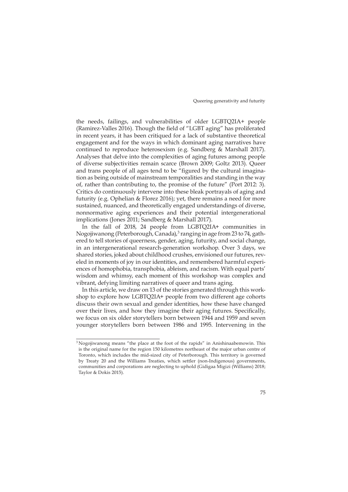the needs, failings, and vulnerabilities of older LGBTQ2IA+ people (Ramirez-Valles 2016). Though the field of "LGBT aging" has proliferated in recent years, it has been critiqued for a lack of substantive theoretical engagement and for the ways in which dominant aging narratives have continued to reproduce heterosexism (e.g. Sandberg & Marshall 2017). Analyses that delve into the complexities of aging futures among people of diverse subjectivities remain scarce (Brown 2009; Goltz 2013). Queer and trans people of all ages tend to be "figured by the cultural imagination as being outside of mainstream temporalities and standing in the way of, rather than contributing to, the promise of the future" (Port 2012: 3). Critics do continuously intervene into these bleak portrayals of aging and futurity (e.g. Ophelian & Florez 2016); yet, there remains a need for more sustained, nuanced, and theoretically engaged understandings of diverse, nonnormative aging experiences and their potential intergenerational implications (Jones 2011; Sandberg & Marshall 2017).

In the fall of 2018, 24 people from LGBTQ2IA+ communities in Nogojiwanong (Peterborough, Canada),<sup>3</sup> ranging in age from 23 to 74, gathered to tell stories of queerness, gender, aging, futurity, and social change, in an intergenerational research-generation workshop. Over 3 days, we shared stories, joked about childhood crushes, envisioned our futures, reveled in moments of joy in our identities, and remembered harmful experiences of homophobia, transphobia, ableism, and racism. With equal parts' wisdom and whimsy, each moment of this workshop was complex and vibrant, defying limiting narratives of queer and trans aging.

In this article, we draw on 13 of the stories generated through this workshop to explore how LGBTQ2IA+ people from two different age cohorts discuss their own sexual and gender identities, how these have changed over their lives, and how they imagine their aging futures. Specifically, we focus on six older storytellers born between 1944 and 1959 and seven younger storytellers born between 1986 and 1995. Intervening in the

 $3$  Nogojiwanong means "the place at the foot of the rapids" in Anishinaabemowin. This is the original name for the region 150 kilometres northeast of the major urban centre of Toronto, which includes the mid-sized city of Peterborough. This territory is governed by Treaty 20 and the Williams Treaties, which settler (non-Indigenous) governments, communities and corporations are neglecting to uphold (Gidigaa Migizi (Williams) 2018; Taylor & Dokis 2015).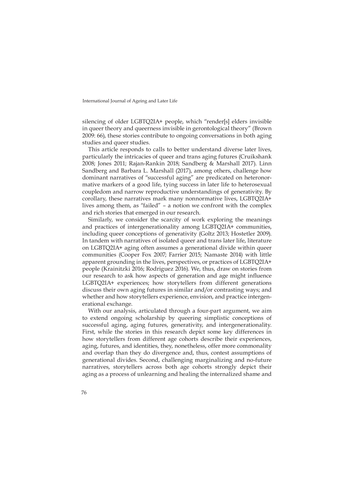silencing of older LGBTQ2IA+ people, which "render[s] elders invisible in queer theory and queerness invisible in gerontological theory" (Brown 2009: 66), these stories contribute to ongoing conversations in both aging studies and queer studies.

This article responds to calls to better understand diverse later lives, particularly the intricacies of queer and trans aging futures (Cruikshank 2008; Jones 2011; Rajan-Rankin 2018; Sandberg & Marshall 2017). Linn Sandberg and Barbara L. Marshall (2017), among others, challenge how dominant narratives of "successful aging" are predicated on heteronormative markers of a good life, tying success in later life to heterosexual coupledom and narrow reproductive understandings of generativity. By corollary, these narratives mark many nonnormative lives, LGBTQ2IA+ lives among them, as "failed" – a notion we confront with the complex and rich stories that emerged in our research.

Similarly, we consider the scarcity of work exploring the meanings and practices of intergenerationality among LGBTQ2IA+ communities, including queer conceptions of generativity (Goltz 2013; Hostetler 2009). In tandem with narratives of isolated queer and trans later life, literature on LGBTQ2IA+ aging often assumes a generational divide within queer communities (Cooper Fox 2007; Farrier 2015; Namaste 2014) with little apparent grounding in the lives, perspectives, or practices of LGBTQ2IA+ people (Krainitzki 2016; Rodriguez 2016). We, thus, draw on stories from our research to ask how aspects of generation and age might influence LGBTQ2IA+ experiences; how storytellers from different generations discuss their own aging futures in similar and/or contrasting ways; and whether and how storytellers experience, envision, and practice intergenerational exchange.

With our analysis, articulated through a four-part argument, we aim to extend ongoing scholarship by queering simplistic conceptions of successful aging, aging futures, generativity, and intergenerationality. First, while the stories in this research depict some key differences in how storytellers from different age cohorts describe their experiences, aging, futures, and identities, they, nonetheless, offer more commonality and overlap than they do divergence and, thus, contest assumptions of generational divides. Second, challenging marginalizing and no-future narratives, storytellers across both age cohorts strongly depict their aging as a process of unlearning and healing the internalized shame and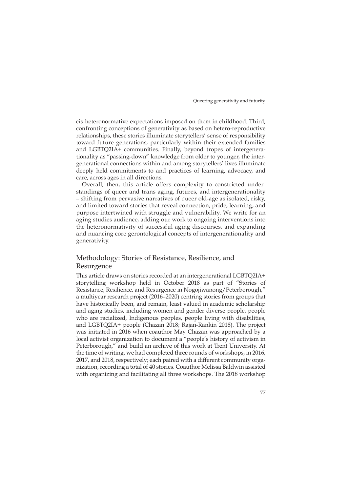cis-heteronormative expectations imposed on them in childhood. Third, confronting conceptions of generativity as based on hetero-reproductive relationships, these stories illuminate storytellers' sense of responsibility toward future generations, particularly within their extended families and LGBTQ2IA+ communities. Finally, beyond tropes of intergenerationality as "passing-down" knowledge from older to younger, the intergenerational connections within and among storytellers' lives illuminate deeply held commitments to and practices of learning, advocacy, and care, across ages in all directions.

Overall, then, this article offers complexity to constricted understandings of queer and trans aging, futures, and intergenerationality – shifting from pervasive narratives of queer old-age as isolated, risky, and limited toward stories that reveal connection, pride, learning, and purpose intertwined with struggle and vulnerability. We write for an aging studies audience, adding our work to ongoing interventions into the heteronormativity of successful aging discourses, and expanding and nuancing core gerontological concepts of intergenerationality and generativity.

# Methodology: Stories of Resistance, Resilience, and Resurgence

This article draws on stories recorded at an intergenerational LGBTQ2IA+ storytelling workshop held in October 2018 as part of "Stories of Resistance, Resilience, and Resurgence in Nogojiwanong/Peterborough," a multiyear research project (2016–2020) centring stories from groups that have historically been, and remain, least valued in academic scholarship and aging studies, including women and gender diverse people, people who are racialized, Indigenous peoples, people living with disabilities, and LGBTQ2IA+ people (Chazan 2018; Rajan-Rankin 2018). The project was initiated in 2016 when coauthor May Chazan was approached by a local activist organization to document a "people's history of activism in Peterborough," and build an archive of this work at Trent University. At the time of writing, we had completed three rounds of workshops, in 2016, 2017, and 2018, respectively; each paired with a different community organization, recording a total of 40 stories. Coauthor Melissa Baldwin assisted with organizing and facilitating all three workshops. The 2018 workshop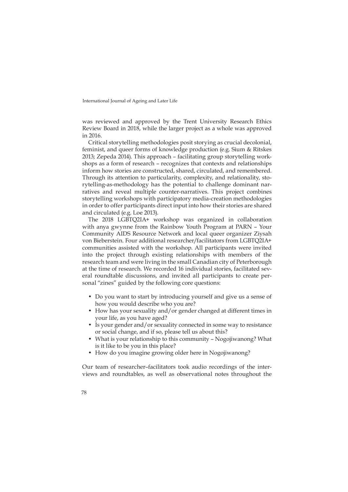was reviewed and approved by the Trent University Research Ethics Review Board in 2018, while the larger project as a whole was approved in 2016.

Critical storytelling methodologies posit storying as crucial decolonial, feminist, and queer forms of knowledge production (e.g. Sium & Ritskes 2013; Zepeda 2014). This approach – facilitating group storytelling workshops as a form of research – recognizes that contexts and relationships inform how stories are constructed, shared, circulated, and remembered. Through its attention to particularity, complexity, and relationality, storytelling-as-methodology has the potential to challenge dominant narratives and reveal multiple counter-narratives. This project combines storytelling workshops with participatory media-creation methodologies in order to offer participants direct input into how their stories are shared and circulated (e.g. Loe 2013).

The 2018 LGBTQ2IA+ workshop was organized in collaboration with anya gwynne from the Rainbow Youth Program at PARN – Your Community AIDS Resource Network and local queer organizer Ziysah von Bieberstein. Four additional researcher/facilitators from LGBTQ2IA+ communities assisted with the workshop. All participants were invited into the project through existing relationships with members of the research team and were living in the small Canadian city of Peterborough at the time of research. We recorded 16 individual stories, facilitated several roundtable discussions, and invited all participants to create personal "zines" guided by the following core questions:

- Do you want to start by introducing yourself and give us a sense of how you would describe who you are?
- How has your sexuality and/or gender changed at different times in your life, as you have aged?
- Is your gender and/or sexuality connected in some way to resistance or social change, and if so, please tell us about this?
- What is your relationship to this community Nogojiwanong? What is it like to be you in this place?
- How do you imagine growing older here in Nogojiwanong?

Our team of researcher–facilitators took audio recordings of the interviews and roundtables, as well as observational notes throughout the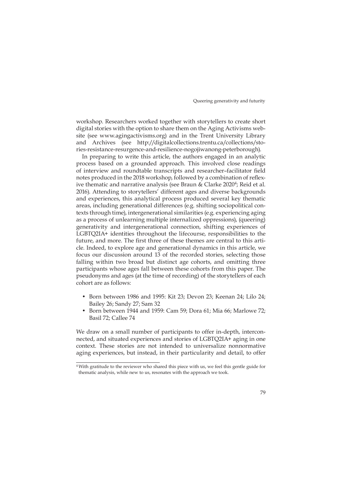workshop. Researchers worked together with storytellers to create short digital stories with the option to share them on the Aging Activisms website (see [www.agingactivisms.org](http://www.agingactivisms.org)) and in the Trent University Library and Archives (see [http://digitalcollections.trentu.ca/collections/sto](http://digitalcollections.trentu.ca/collections/stories-resistance-resurgence-and-resilience-nogojiwanong-peterborough)[ries-resistance-resurgence-and-resilience-nogojiwanong-peterborough\)](http://digitalcollections.trentu.ca/collections/stories-resistance-resurgence-and-resilience-nogojiwanong-peterborough).

In preparing to write this article, the authors engaged in an analytic process based on a grounded approach. This involved close readings of interview and roundtable transcripts and researcher–facilitator field notes produced in the 2018 workshop, followed by a combination of reflexive thematic and narrative analysis (see Braun & Clarke 2020<sup>4</sup>; Reid et al. 2016). Attending to storytellers' different ages and diverse backgrounds and experiences, this analytical process produced several key thematic areas, including generational differences (e.g. shifting sociopolitical contexts through time), intergenerational similarities (e.g. experiencing aging as a process of unlearning multiple internalized oppressions), (queering) generativity and intergenerational connection, shifting experiences of LGBTQ2IA+ identities throughout the lifecourse, responsibilities to the future, and more. The first three of these themes are central to this article. Indeed, to explore age and generational dynamics in this article, we focus our discussion around 13 of the recorded stories, selecting those falling within two broad but distinct age cohorts, and omitting three participants whose ages fall between these cohorts from this paper. The pseudonyms and ages (at the time of recording) of the storytellers of each cohort are as follows:

- Born between 1986 and 1995: Kit 23; Devon 23; Keenan 24; Lilo 24; Bailey 26; Sandy 27; Sam 32
- Born between 1944 and 1959: Cam 59; Dora 61; Mia 66; Marlowe 72; Basil 72; Callee 74

We draw on a small number of participants to offer in-depth, interconnected, and situated experiences and stories of LGBTQ2IA+ aging in one context. These stories are not intended to universalize nonnormative aging experiences, but instead, in their particularity and detail, to offer

<sup>&</sup>lt;sup>4</sup> With gratitude to the reviewer who shared this piece with us, we feel this gentle guide for thematic analysis, while new to us, resonates with the approach we took.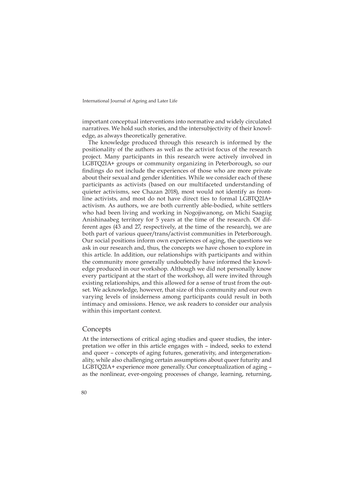important conceptual interventions into normative and widely circulated narratives. We hold such stories, and the intersubjectivity of their knowledge, as always theoretically generative.

The knowledge produced through this research is informed by the positionality of the authors as well as the activist focus of the research project. Many participants in this research were actively involved in LGBTQ2IA+ groups or community organizing in Peterborough, so our findings do not include the experiences of those who are more private about their sexual and gender identities. While we consider each of these participants as activists (based on our multifaceted understanding of quieter activisms, see Chazan 2018), most would not identify as frontline activists, and most do not have direct ties to formal LGBTQ2IA+ activism. As authors, we are both currently able-bodied, white settlers who had been living and working in Nogojiwanong, on Michi Saagiig Anishinaabeg territory for 5 years at the time of the research. Of different ages (43 and 27, respectively, at the time of the research), we are both part of various queer/trans/activist communities in Peterborough. Our social positions inform own experiences of aging, the questions we ask in our research and, thus, the concepts we have chosen to explore in this article. In addition, our relationships with participants and within the community more generally undoubtedly have informed the knowledge produced in our workshop. Although we did not personally know every participant at the start of the workshop, all were invited through existing relationships, and this allowed for a sense of trust from the outset. We acknowledge, however, that size of this community and our own varying levels of insiderness among participants could result in both intimacy and omissions. Hence, we ask readers to consider our analysis within this important context.

#### **Concepts**

At the intersections of critical aging studies and queer studies, the interpretation we offer in this article engages with – indeed, seeks to extend and queer – concepts of aging futures, generativity, and intergenerationality, while also challenging certain assumptions about queer futurity and LGBTQ2IA+ experience more generally. Our conceptualization of aging – as the nonlinear, ever-ongoing processes of change, learning, returning,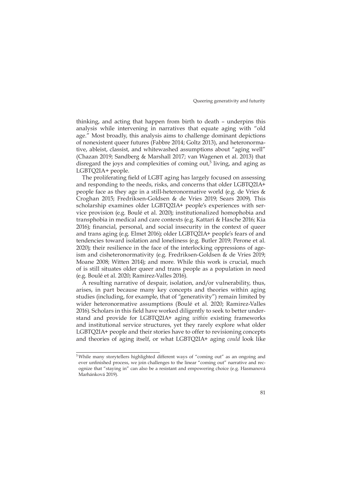thinking, and acting that happen from birth to death – underpins this analysis while intervening in narratives that equate aging with "old age." Most broadly, this analysis aims to challenge dominant depictions of nonexistent queer futures (Fabbre 2014; Goltz 2013), and heteronormative, ableist, classist, and whitewashed assumptions about "aging well" (Chazan 2019; Sandberg & Marshall 2017; van Wagenen et al. 2013) that disregard the joys and complexities of coming out,<sup>5</sup> living, and aging as LGBTQ2IA+ people.

The proliferating field of LGBT aging has largely focused on assessing and responding to the needs, risks, and concerns that older LGBTQ2IA+ people face as they age in a still-heteronormative world (e.g. de Vries & Croghan 2015; Fredriksen-Goldsen & de Vries 2019; Sears 2009). This scholarship examines older LGBTQ2IA+ people's experiences with service provision (e.g. Boulé et al. 2020); institutionalized homophobia and transphobia in medical and care contexts (e.g. Kattari & Hasche 2016; Kia 2016); financial, personal, and social insecurity in the context of queer and trans aging (e.g. Elmet 2016); older LGBTQ2IA+ people's fears of and tendencies toward isolation and loneliness (e.g. Butler 2019; Perone et al. 2020); their resilience in the face of the interlocking oppressions of ageism and cisheteronormativity (e.g. Fredriksen-Goldsen & de Vries 2019; Moane 2008; Witten 2014); and more. While this work is crucial, much of is still situates older queer and trans people as a population in need (e.g. Boulé et al. 2020; Ramirez-Valles 2016).

A resulting narrative of despair, isolation, and/or vulnerability, thus, arises, in part because many key concepts and theories within aging studies (including, for example, that of "generativity") remain limited by wider heteronormative assumptions (Boulé et al. 2020; Ramirez-Valles 2016). Scholars in this field have worked diligently to seek to better understand and provide for LGBTQ2IA+ aging *within* existing frameworks and institutional service structures, yet they rarely explore what older LGBTQ2IA+ people and their stories have to offer to revisioning concepts and theories of aging itself, or what LGBTQ2IA+ aging *could* look like

<sup>5</sup> While many storytellers highlighted different ways of "coming out" as an ongoing and ever unfinished process, we join challenges to the linear "coming out" narrative and recognize that "staying in" can also be a resistant and empowering choice (e.g. Hasmanová Marhánková 2019).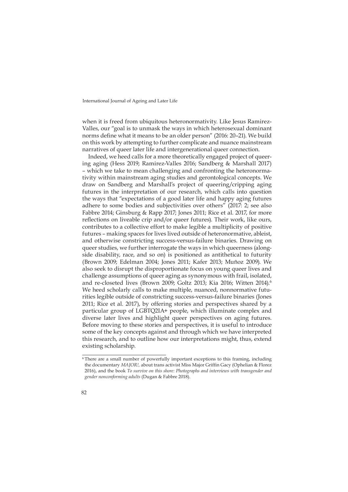when it is freed from ubiquitous heteronormativity. Like Jesus Ramirez-Valles, our "goal is to unmask the ways in which heterosexual dominant norms define what it means to be an older person" (2016: 20–21). We build on this work by attempting to further complicate and nuance mainstream narratives of queer later life and intergenerational queer connection.

Indeed, we heed calls for a more theoretically engaged project of queering aging (Hess 2019; Ramirez-Valles 2016; Sandberg & Marshall 2017) – which we take to mean challenging and confronting the heteronormativity within mainstream aging studies and gerontological concepts. We draw on Sandberg and Marshall's project of queering/cripping aging futures in the interpretation of our research, which calls into question the ways that "expectations of a good later life and happy aging futures adhere to some bodies and subjectivities over others" (2017: 2; see also Fabbre 2014; Ginsburg & Rapp 2017; Jones 2011; Rice et al. 2017, for more reflections on liveable crip and/or queer futures). Their work, like ours, contributes to a collective effort to make legible a multiplicity of positive futures – making spaces for lives lived outside of heteronormative, ableist, and otherwise constricting success-versus-failure binaries. Drawing on queer studies, we further interrogate the ways in which queerness (alongside disability, race, and so on) is positioned as antithetical to futurity (Brown 2009; Edelman 2004; Jones 2011; Kafer 2013; Muñoz 2009). We also seek to disrupt the disproportionate focus on young queer lives and challenge assumptions of queer aging as synonymous with frail, isolated, and re-closeted lives (Brown 2009; Goltz 2013; Kia 2016; Witten 2014).<sup>6</sup> We heed scholarly calls to make multiple, nuanced, nonnormative futurities legible outside of constricting success-versus-failure binaries (Jones 2011; Rice et al. 2017), by offering stories and perspectives shared by a particular group of LGBTQ2IA+ people, which illuminate complex and diverse later lives and highlight queer perspectives on aging futures. Before moving to these stories and perspectives, it is useful to introduce some of the key concepts against and through which we have interpreted this research, and to outline how our interpretations might, thus, extend existing scholarship.

<sup>6</sup> There are a small number of powerfully important exceptions to this framing, including the documentary *MAJOR!,* about trans activist Miss Major Griffin Gacy (Ophelian & Florez 2016), and the book *To survive on this shore: Photographs and interviews with transgender and gender nonconforming adults* (Dugan & Fabbre 2018).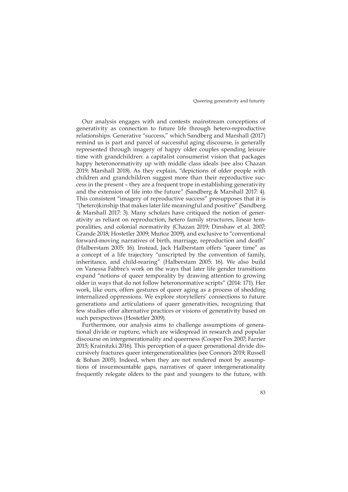Our analysis engages with and contests mainstream conceptions of generativity as connection to future life through hetero-reproductive relationships. Generative "success," which Sandberg and Marshall (2017) remind us is part and parcel of successful aging discourse, is generally represented through imagery of happy older couples spending leisure time with grandchildren: a capitalist consumerist vision that packages happy heteronormativity up with middle class ideals (see also Chazan 2019; Marshall 2018). As they explain, "depictions of older people with children and grandchildren suggest more than their reproductive success in the present – they are a frequent trope in establishing generativity and the extension of life into the future" (Sandberg & Marshall 2017: 4). This consistent "imagery of reproductive success" presupposes that it is "(hetero)kinship that makes later life meaningful and positive" (Sandberg & Marshall 2017: 3). Many scholars have critiqued the notion of generativity as reliant on reproduction, hetero family structures, linear temporalities, and colonial normativity (Chazan 2019; Dinshaw et al. 2007; Grande 2018; Hostetler 2009; Muñoz 2009), and exclusive to "conventional forward-moving narratives of birth, marriage, reproduction and death" (Halberstam 2005: 16). Instead, Jack Halberstam offers "queer time" as a concept of a life trajectory "unscripted by the convention of family, inheritance, and child-rearing" (Halberstam 2005: 16). We also build on Vanessa Fabbre's work on the ways that later life gender transitions expand "notions of queer temporality by drawing attention to growing older in ways that do not follow heteronormative scripts" (2014: 171). Her work, like ours, offers gestures of queer aging as a process of shedding internalized oppressions. We explore storytellers' connections to future generations and articulations of queer generativities, recognizing that few studies offer alternative practices or visions of generativity based on such perspectives (Hostetler 2009).

Furthermore, our analysis aims to challenge assumptions of generational divide or rupture, which are widespread in research and popular discourse on intergenerationality and queerness (Cooper Fox 2007; Farrier 2015; Krainitzki 2016). This perception of a queer generational divide discursively fractures queer intergenerationalities (see Connors 2019; Russell & Bohan 2005). Indeed, when they are not rendered moot by assumptions of insurmountable gaps, narratives of queer intergenerationality frequently relegate olders to the past and youngers to the future, with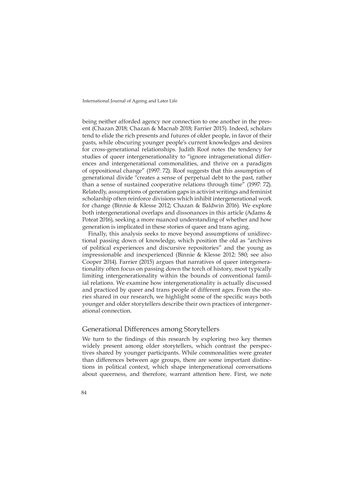being neither afforded agency nor connection to one another in the present (Chazan 2018; Chazan & Macnab 2018; Farrier 2015). Indeed, scholars tend to elide the rich presents and futures of older people, in favor of their pasts, while obscuring younger people's current knowledges and desires for cross-generational relationships. Judith Roof notes the tendency for studies of queer intergenerationality to "ignore intragenerational differences and intergenerational commonalities, and thrive on a paradigm of oppositional change" (1997: 72). Roof suggests that this assumption of generational divide "creates a sense of perpetual debt to the past, rather than a sense of sustained cooperative relations through time" (1997: 72). Relatedly, assumptions of generation gaps in activist writings and feminist scholarship often reinforce divisions which inhibit intergenerational work for change (Binnie & Klesse 2012; Chazan & Baldwin 2016). We explore both intergenerational overlaps and dissonances in this article (Adams & Poteat 2016), seeking a more nuanced understanding of whether and how generation is implicated in these stories of queer and trans aging.

Finally, this analysis seeks to move beyond assumptions of unidirectional passing down of knowledge, which position the old as "archives of political experiences and discursive repositories" and the young as impressionable and inexperienced (Binnie & Klesse 2012: 580; see also Cooper 2014). Farrier (2015) argues that narratives of queer intergenerationality often focus on passing down the torch of history, most typically limiting intergenerationality within the bounds of conventional familial relations. We examine how intergenerationality is actually discussed and practiced by queer and trans people of different ages. From the stories shared in our research, we highlight some of the specific ways both younger and older storytellers describe their own practices of intergenerational connection.

#### Generational Differences among Storytellers

We turn to the findings of this research by exploring two key themes widely present among older storytellers, which contrast the perspectives shared by younger participants. While commonalities were greater than differences between age groups, there are some important distinctions in political context, which shape intergenerational conversations about queerness, and therefore, warrant attention here. First, we note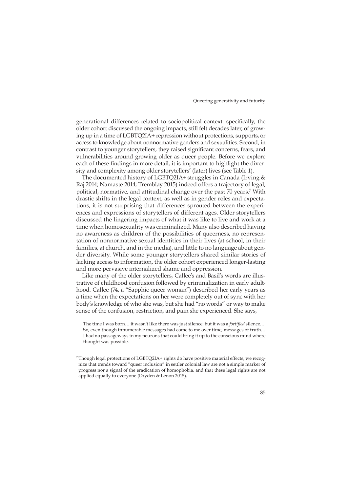generational differences related to sociopolitical context: specifically, the older cohort discussed the ongoing impacts, still felt decades later, of growing up in a time of LGBTQ2IA+ repression without protections, supports, or access to knowledge about nonnormative genders and sexualities. Second, in contrast to younger storytellers, they raised significant concerns, fears, and vulnerabilities around growing older as queer people. Before we explore each of these findings in more detail, it is important to highlight the diversity and complexity among older storytellers' (later) lives (see Table 1).

The documented history of LGBTQ2IA+ struggles in Canada (Irving & Raj 2014; Namaste 2014; Tremblay 2015) indeed offers a trajectory of legal, political, normative, and attitudinal change over the past 70 years.<sup>7</sup> With drastic shifts in the legal context, as well as in gender roles and expectations, it is not surprising that differences sprouted between the experiences and expressions of storytellers of different ages. Older storytellers discussed the lingering impacts of what it was like to live and work at a time when homosexuality was criminalized. Many also described having no awareness as children of the possibilities of queerness, no representation of nonnormative sexual identities in their lives (at school, in their families, at church, and in the media), and little to no language about gender diversity. While some younger storytellers shared similar stories of lacking access to information, the older cohort experienced longer-lasting and more pervasive internalized shame and oppression.

Like many of the older storytellers, Callee's and Basil's words are illustrative of childhood confusion followed by criminalization in early adulthood. Callee (74, a "Sapphic queer woman") described her early years as a time when the expectations on her were completely out of sync with her body's knowledge of who she was, but she had "no words" or way to make sense of the confusion, restriction, and pain she experienced. She says,

The time I was born… it wasn't like there was just silence, but it was a *fortified* silence…. So, even though innumerable messages had come to me over time, messages of truth… I had no passageways in my neurons that could bring it up to the conscious mind where thought was possible.

 $^7$  Though legal protections of LGBTQ2IA+ rights do have positive material effects, we recognize that trends toward "queer inclusion" in settler colonial law are not a simple marker of progress nor a signal of the eradication of homophobia, and that these legal rights are not applied equally to everyone (Dryden & Lenon 2015).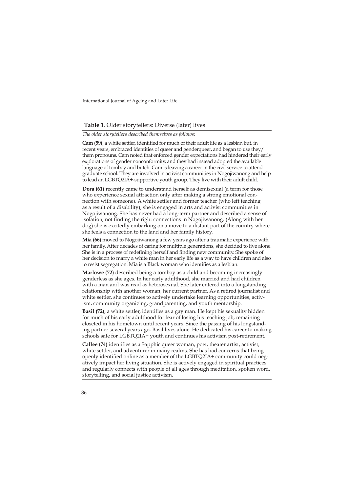#### **Table 1**. Older storytellers: Diverse (later) lives

*The older storytellers described themselves as follows:*

**Cam (59)**, a white settler, identified for much of their adult life as a lesbian but, in recent years, embraced identities of queer and genderqueer, and began to use they/ them pronouns. Cam noted that enforced gender expectations had hindered their early explorations of gender nonconformity, and they had instead adopted the available language of tomboy and butch. Cam is leaving a career in the civil service to attend graduate school. They are involved in activist communities in Nogojiwanong and help to lead an LGBTQ2IA+-supportive youth group. They live with their adult child.

**Dora (61)** recently came to understand herself as demisexual (a term for those who experience sexual attraction only after making a strong emotional connection with someone). A white settler and former teacher (who left teaching as a result of a disability), she is engaged in arts and activist communities in Nogojiwanong. She has never had a long-term partner and described a sense of isolation, not finding the right connections in Nogojiwanong. (Along with her dog) she is excitedly embarking on a move to a distant part of the country where she feels a connection to the land and her family history.

**Mia (66)** moved to Nogojiwanong a few years ago after a traumatic experience with her family. After decades of caring for multiple generations, she decided to live alone. She is in a process of redefining herself and finding new community. She spoke of her decision to marry a white man in her early life as a way to have children and also to resist segregation. Mia is a Black woman who identifies as a lesbian.

**Marlowe (72)** described being a tomboy as a child and becoming increasingly genderless as she ages. In her early adulthood, she married and had children with a man and was read as heterosexual. She later entered into a longstanding relationship with another woman, her current partner. As a retired journalist and white settler, she continues to actively undertake learning opportunities, activism, community organizing, grandparenting, and youth mentorship.

**Basil (72)**, a white settler, identifies as a gay man. He kept his sexuality hidden for much of his early adulthood for fear of losing his teaching job, remaining closeted in his hometown until recent years. Since the passing of his longstanding partner several years ago, Basil lives alone. He dedicated his career to making schools safe for LGBTQ2IA+ youth and continues his activism post-retirement.

**Callee (74)** identifies as a Sapphic queer woman, poet, theater artist, activist, white settler, and adventurer in many realms. She has had concerns that being openly identified online as a member of the LGBTQ2IA+ community could negatively impact her living situation. She is actively engaged in spiritual practices and regularly connects with people of all ages through meditation, spoken word, storytelling, and social justice activism.

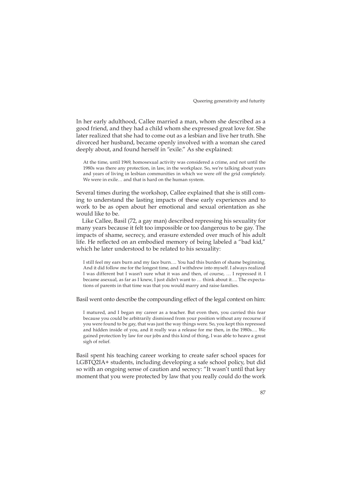In her early adulthood, Callee married a man, whom she described as a good friend, and they had a child whom she expressed great love for. She later realized that she had to come out as a lesbian and live her truth. She divorced her husband, became openly involved with a woman she cared deeply about, and found herself in "exile." As she explained:

At the time, until 1969, homosexual activity was considered a crime, and not until the 1980s was there any protection, in law, in the workplace. So, we're talking about years and years of living in lesbian communities in which we were off the grid completely. We were in exile… and that is hard on the human system.

Several times during the workshop, Callee explained that she is still coming to understand the lasting impacts of these early experiences and to work to be as open about her emotional and sexual orientation as she would like to be.

Like Callee, Basil (72, a gay man) described repressing his sexuality for many years because it felt too impossible or too dangerous to be gay. The impacts of shame, secrecy, and erasure extended over much of his adult life. He reflected on an embodied memory of being labeled a "bad kid," which he later understood to be related to his sexuality:

I still feel my ears burn and my face burn…. You had this burden of shame beginning. And it did follow me for the longest time, and I withdrew into myself. I always realized I was different but I wasn't sure what it was and then, of course, … I repressed it. I became asexual, as far as I knew, I just didn't want to … think about it…. The expectations of parents in that time was that you would marry and raise families.

Basil went onto describe the compounding effect of the legal context on him:

I matured, and I began my career as a teacher. But even then, you carried this fear because you could be arbitrarily dismissed from your position without any recourse if you were found to be gay, that was just the way things were. So, you kept this repressed and hidden inside of you, and it really was a release for me then, in the 1980s…. We gained protection by law for our jobs and this kind of thing, I was able to heave a great sigh of relief.

Basil spent his teaching career working to create safer school spaces for LGBTQ2IA+ students, including developing a safe school policy, but did so with an ongoing sense of caution and secrecy: "It wasn't until that key moment that you were protected by law that you really could do the work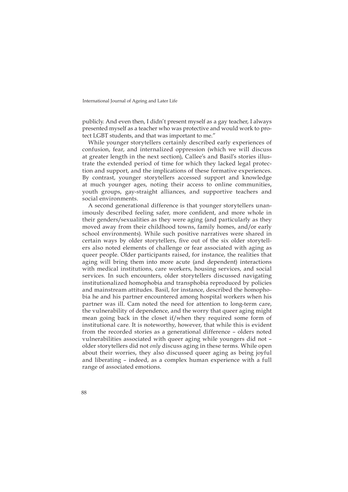publicly. And even then, I didn't present myself as a gay teacher, I always presented myself as a teacher who was protective and would work to protect LGBT students, and that was important to me."

While younger storytellers certainly described early experiences of confusion, fear, and internalized oppression (which we will discuss at greater length in the next section), Callee's and Basil's stories illustrate the extended period of time for which they lacked legal protection and support, and the implications of these formative experiences. By contrast, younger storytellers accessed support and knowledge at much younger ages, noting their access to online communities, youth groups, gay-straight alliances, and supportive teachers and social environments.

A second generational difference is that younger storytellers unanimously described feeling safer, more confident, and more whole in their genders/sexualities as they were aging (and particularly as they moved away from their childhood towns, family homes, and/or early school environments). While such positive narratives were shared in certain ways by older storytellers, five out of the six older storytellers also noted elements of challenge or fear associated with aging as queer people. Older participants raised, for instance, the realities that aging will bring them into more acute (and dependent) interactions with medical institutions, care workers, housing services, and social services. In such encounters, older storytellers discussed navigating institutionalized homophobia and transphobia reproduced by policies and mainstream attitudes. Basil, for instance, described the homophobia he and his partner encountered among hospital workers when his partner was ill. Cam noted the need for attention to long-term care, the vulnerability of dependence, and the worry that queer aging might mean going back in the closet if/when they required some form of institutional care. It is noteworthy, however, that while this is evident from the recorded stories as a generational difference – olders noted vulnerabilities associated with queer aging while youngers did not – older storytellers did not *only* discuss aging in these terms. While open about their worries, they also discussed queer aging as being joyful and liberating – indeed, as a complex human experience with a full range of associated emotions.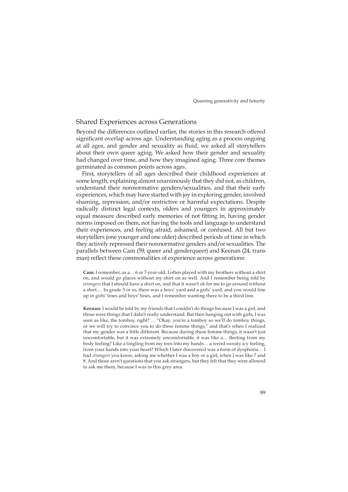#### Shared Experiences across Generations

Beyond the differences outlined earlier, the stories in this research offered significant overlap across age. Understanding aging as a process ongoing at all ages, and gender and sexuality as fluid, we asked all storytellers about their own queer aging. We asked how their gender and sexuality had changed over time, and how they imagined aging. Three core themes germinated as common points across ages.

First, storytellers of all ages described their childhood experiences at some length, explaining almost unanimously that they did not, as children, understand their nonnormative genders/sexualities, and that their early experiences, which may have started with joy in exploring gender, involved shaming, repression, and/or restrictive or harmful expectations. Despite radically distinct legal contexts, olders and youngers in approximately equal measure described early memories of not fitting in, having gender norms imposed on them, not having the tools and language to understand their experiences, and feeling afraid, ashamed, or confused. All but two storytellers (one younger and one older) described periods of time in which they actively repressed their nonnormative genders and/or sexualities. The parallels between Cam (59, queer and genderqueer) and Keenan (24, trans man) reflect these commonalities of experience across generations:

**Cam:** I remember, as a… 6 or 7-year-old, I often played with my brothers without a shirt on, and would go places without my shirt on as well. And I remember being told by *strangers* that I should have a shirt on, and that it wasn't ok for me to go around without a shirt.… In grade 3 or so, there was a boys' yard and a girls' yard, and you would line up in girls' lines and boys' lines, and I remember wanting there to be a third line.

**Keenan:** I would be told by my friends that I couldn't do things because I was a girl, and those were things that I didn't really understand. But then hanging out with girls, I was seen as like, the tomboy, right? … "Okay, you're a tomboy so we'll do tomboy things, or we will try to convince you to do these femme things," and that's when I realized that my gender was a little different. Because during these femme things, it wasn't just uncomfortable, but it was extremely uncomfortable, it was like a… fleeting from my body feeling? Like a tingling from my toes into my hands… a weird sweaty icy feeling, from your hands into your heart? Which I later discovered was a form of dysphoria… I had *strangers* you know, asking me whether I was a boy or a girl, when I was like 7 and 8. And those aren't questions that you ask strangers, but they felt that they were allowed to ask me them, because I was in this grey area.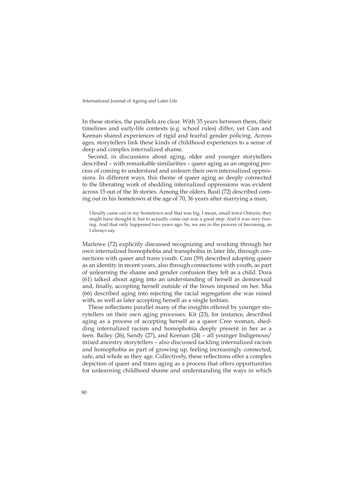In these stories, the parallels are clear. With 35 years between them, their timelines and early-life contexts (e.g. school rules) differ, yet Cam and Keenan shared experiences of rigid and fearful gender policing. Across ages, storytellers link these kinds of childhood experiences to a sense of deep and complex internalized shame.

Second, in discussions about aging, older and younger storytellers described – with remarkable similarities – queer aging as an ongoing process of coming to understand and unlearn their own internalized oppressions. In different ways, this theme of queer aging as deeply connected to the liberating work of shedding internalized oppressions was evident across 15 out of the 16 stories. Among the olders, Basil (72) described coming out in his hometown at the age of 70, 36 years after marrying a man,

I finally came out in my hometown and that was big. I mean, small town Ontario, they might have thought it, but to actually come out was a great step. And it was very freeing. And that only happened two years ago. So, we are in the process of becoming, as I always say.

Marlowe (72) explicitly discussed recognizing and working through her own internalized homophobia and transphobia in later life, through connections with queer and trans youth. Cam (59) described adopting queer as an identity in recent years, also through connections with youth, as part of unlearning the shame and gender confusion they felt as a child. Dora (61) talked about aging into an understanding of herself as demisexual and, finally, accepting herself outside of the boxes imposed on her. Mia (66) described aging into rejecting the racial segregation she was raised with, as well as later accepting herself as a single lesbian.

These reflections parallel many of the insights offered by younger storytellers on their own aging processes. Kit (23), for instance, described aging as a process of accepting herself as a queer Cree woman, shedding internalized racism and homophobia deeply present in her as a teen. Bailey (26), Sandy (27), and Keenan (24) – all younger Indigenous/ mixed ancestry storytellers – also discussed tackling internalized racism and homophobia as part of growing up, feeling increasingly connected, safe, and whole as they age. Collectively, these reflections offer a complex depiction of queer and trans aging as a process that offers opportunities for unlearning childhood shame and understanding the ways in which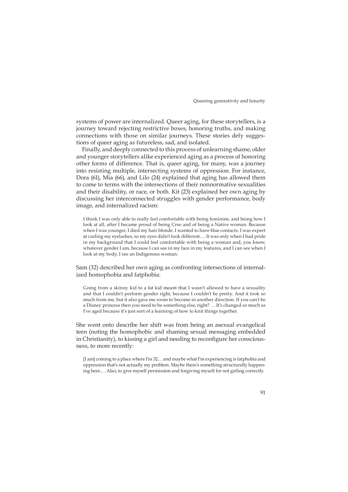systems of power are internalized. Queer aging, for these storytellers, is a journey toward rejecting restrictive boxes, honoring truths, and making connections with those on similar journeys. These stories defy suggestions of queer aging as futureless, sad, and isolated.

Finally, and deeply connected to this process of unlearning shame, older and younger storytellers alike experienced aging as a process of honoring other forms of difference. That is, queer aging, for many, was a journey into resisting multiple, intersecting systems of oppression. For instance, Dora (61), Mia (66), and Lilo (24) explained that aging has allowed them to come to terms with the intersections of their nonnormative sexualities and their disability, or race, or both. Kit (23) explained her own aging by discussing her interconnected struggles with gender performance, body image, and internalized racism:

I think I was only able to really feel comfortable with being feminine, and being how I look at all, after I became proud of being Cree and of being a Native woman. Because when I was younger, I died my hair blonde. I wanted to have blue contacts. I was expert at curling my eyelashes, so my eyes didn't look different…. It was only when I had pride in my background that I could feel comfortable with being a woman and, you know, whatever gender I am, because I can see in my face in my features, and I can see when I look at my body, I see an Indigenous woman.

Sam (32) described her own aging as confronting intersections of internalized homophobia and fatphobia:

Going from a skinny kid to a fat kid meant that I wasn't allowed to have a sexuality and that I couldn't perform gender right, because I couldn't be pretty. And it took so much from me, but it also gave me room to become in another direction. If you can't be a Disney princess then you need to be something else, right? … It's changed so much as I've aged because it's just sort of a learning of how to knit things together.

She went onto describe her shift was from being an asexual evangelical teen (noting the homophobic and shaming sexual messaging embedded in Christianity), to kissing a girl and needing to reconfigure her consciousness, to more recently:

[I am] coming to a place where I'm 32… and maybe what I'm experiencing is fatphobia and oppression that's not actually my problem. Maybe there's something structurally happening here.… Also, to give myself permission and forgiving myself for not girling correctly.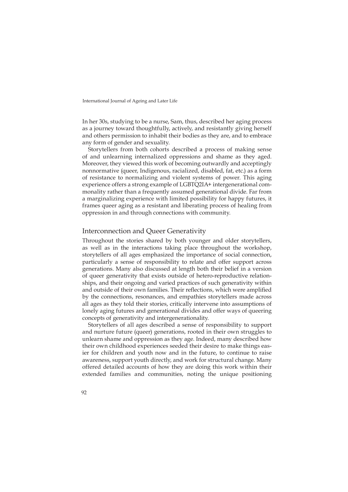In her 30s, studying to be a nurse, Sam, thus, described her aging process as a journey toward thoughtfully, actively, and resistantly giving herself and others permission to inhabit their bodies as they are, and to embrace any form of gender and sexuality.

Storytellers from both cohorts described a process of making sense of and unlearning internalized oppressions and shame as they aged. Moreover, they viewed this work of becoming outwardly and acceptingly nonnormative (queer, Indigenous, racialized, disabled, fat, etc.) as a form of resistance to normalizing and violent systems of power. This aging experience offers a strong example of LGBTQ2IA+ intergenerational commonality rather than a frequently assumed generational divide. Far from a marginalizing experience with limited possibility for happy futures, it frames queer aging as a resistant and liberating process of healing from oppression in and through connections with community.

## Interconnection and Queer Generativity

Throughout the stories shared by both younger and older storytellers, as well as in the interactions taking place throughout the workshop, storytellers of all ages emphasized the importance of social connection, particularly a sense of responsibility to relate and offer support across generations. Many also discussed at length both their belief in a version of queer generativity that exists outside of hetero-reproductive relationships, and their ongoing and varied practices of such generativity within and outside of their own families. Their reflections, which were amplified by the connections, resonances, and empathies storytellers made across all ages as they told their stories, critically intervene into assumptions of lonely aging futures and generational divides and offer ways of queering concepts of generativity and intergenerationality.

Storytellers of all ages described a sense of responsibility to support and nurture future (queer) generations, rooted in their own struggles to unlearn shame and oppression as they age. Indeed, many described how their own childhood experiences seeded their desire to make things easier for children and youth now and in the future, to continue to raise awareness, support youth directly, and work for structural change. Many offered detailed accounts of how they are doing this work within their extended families and communities, noting the unique positioning

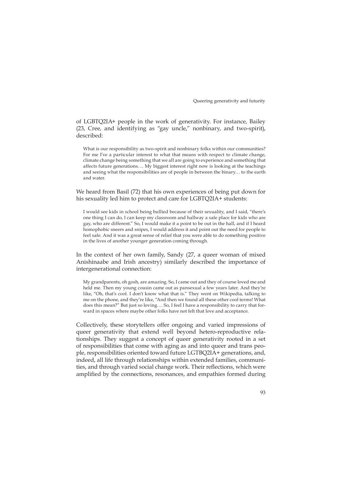of LGBTQ2IA+ people in the work of generativity. For instance, Bailey (23, Cree, and identifying as "gay uncle," nonbinary, and two-spirit), described:

What is our responsibility as two-spirit and nonbinary folks within our communities? For me I've a particular interest to what that means with respect to climate change, climate change being something that we all are going to experience and something that affects future generations…. My biggest interest right now is looking at the teachings and seeing what the responsibilities are of people in between the binary… to the earth and water.

We heard from Basil (72) that his own experiences of being put down for his sexuality led him to protect and care for LGBTQ2IA+ students:

I would see kids in school being bullied because of their sexuality, and I said, "there's one thing I can do, I can keep my classroom and hallway a safe place for kids who are gay, who are different." So, I would make it a point to be out in the hall, and if I heard homophobic sneers and snipes, I would address it and point out the need for people to feel safe. And it was a great sense of relief that you were able to do something positive in the lives of another younger generation coming through.

In the context of her own family, Sandy (27, a queer woman of mixed Anishinaabe and Irish ancestry) similarly described the importance of intergenerational connection:

My grandparents, oh gosh, are amazing. So, I came out and they of course loved me and held me. Then my young cousin came out as pansexual a few years later. And they're like, "Oh, that's cool. I don't know what that is." They went on Wikipedia, talking to me on the phone, and they're like, "And then we found all these other cool terms! What does this mean?" But just so loving…. So, I feel I have a responsibility to carry that forward in spaces where maybe other folks have not felt that love and acceptance.

Collectively, these storytellers offer ongoing and varied impressions of queer generativity that extend well beyond hetero-reproductive relationships. They suggest a concept of queer generativity rooted in a set of responsibilities that come with aging as and into queer and trans people, responsibilities oriented toward future LGTBQ2IA+ generations, and, indeed, all life through relationships within extended families, communities, and through varied social change work. Their reflections, which were amplified by the connections, resonances, and empathies formed during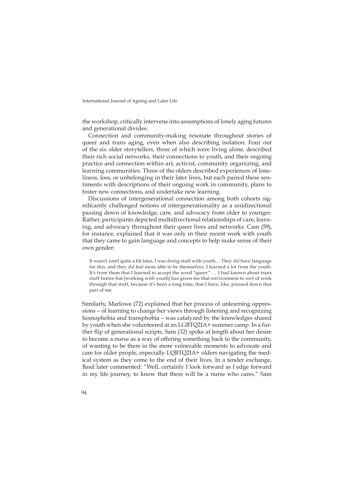the workshop, critically intervene into assumptions of lonely aging futures and generational divides.

Connection and community-making resonate throughout stories of queer and trans aging, even when also describing isolation. Four out of the six older storytellers, three of which were living alone, described their rich social networks, their connections to youth, and their ongoing practice and connection within art, activist, community organizing, and learning communities. Three of the olders described experiences of loneliness, loss, or unbelonging in their later lives, but each paired these sentiments with descriptions of their ongoing work in community, plans to foster new connections, and undertake new learning.

Discussions of intergenerational connection among both cohorts significantly challenged notions of intergenerationality as a unidirectional passing down of knowledge, care, and advocacy from older to younger. Rather, participants depicted multidirectional relationships of care, learning, and advocacy throughout their queer lives and networks. Cam (59), for instance, explained that it was only in their recent work with youth that they came to gain language and concepts to help make sense of their own gender:

It wasn't until quite a bit later, I was doing stuff with youth… They *did* have language for this, and they *did* feel more able to be themselves. I learned a lot from the youth. It's from them that I learned to accept the word "queer." … I had known about trans stuff before but [working with youth] has given me that environment to sort of work through that stuff, because it's been a long time, that I have, like, pressed down that part of me.

Similarly, Marlowe (72) explained that her process of unlearning oppressions – of learning to change her views through listening and recognizing homophobia and transphobia – was catalyzed by the knowledges shared by youth when she volunteered at an LGBTQ2IA+ summer camp. In a further flip of generational scripts, Sam (32) spoke at length about her desire to become a nurse as a way of offering something back to the community, of wanting to be there in the more vulnerable moments to advocate and care for older people, especially LQBTQ2IA+ olders navigating the medical system as they come to the end of their lives. In a tender exchange, Basil later commented: "Well, certainly I look forward as I edge forward in my life journey, to know that there will be a nurse who cares." Sam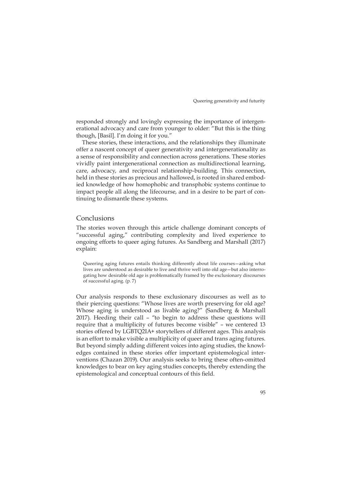responded strongly and lovingly expressing the importance of intergenerational advocacy and care from younger to older: "But this is the thing though, [Basil]. I'm doing it for you."

These stories, these interactions, and the relationships they illuminate offer a nascent concept of queer generativity and intergenerationality as a sense of responsibility and connection across generations. These stories vividly paint intergenerational connection as multidirectional learning, care, advocacy, and reciprocal relationship-building. This connection, held in these stories as precious and hallowed, is rooted in shared embodied knowledge of how homophobic and transphobic systems continue to impact people all along the lifecourse, and in a desire to be part of continuing to dismantle these systems.

#### Conclusions

The stories woven through this article challenge dominant concepts of "successful aging," contributing complexity and lived experience to ongoing efforts to queer aging futures. As Sandberg and Marshall (2017) explain:

Queering aging futures entails thinking differently about life courses—asking what lives are understood as desirable to live and thrive well into old age—but also interrogating how desirable old age is problematically framed by the exclusionary discourses of successful aging. (p. 7)

Our analysis responds to these exclusionary discourses as well as to their piercing questions: "Whose lives are worth preserving for old age? Whose aging is understood as livable aging?" (Sandberg & Marshall 2017). Heeding their call – "to begin to address these questions will require that a multiplicity of futures become visible" – we centered 13 stories offered by LGBTQ2IA+ storytellers of different ages. This analysis is an effort to make visible a multiplicity of queer and trans aging futures. But beyond simply adding different voices into aging studies, the knowledges contained in these stories offer important epistemological interventions (Chazan 2019). Our analysis seeks to bring these often-omitted knowledges to bear on key aging studies concepts, thereby extending the epistemological and conceptual contours of this field.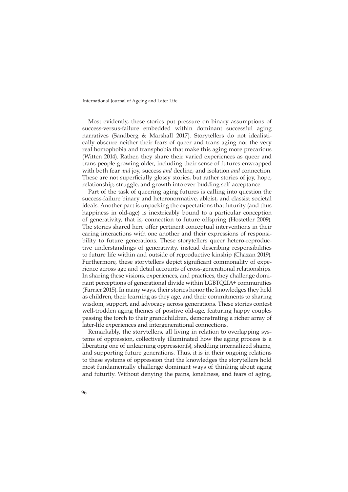Most evidently, these stories put pressure on binary assumptions of success-versus-failure embedded within dominant successful aging narratives (Sandberg & Marshall 2017). Storytellers do not idealistically obscure neither their fears of queer and trans aging nor the very real homophobia and transphobia that make this aging more precarious (Witten 2014). Rather, they share their varied experiences as queer and trans people growing older, including their sense of futures enwrapped with both fear *and* joy, success *and* decline, and isolation *and* connection. These are not superficially glossy stories, but rather stories of joy, hope, relationship, struggle, and growth into ever-budding self-acceptance.

Part of the task of queering aging futures is calling into question the success-failure binary and heteronormative, ableist, and classist societal ideals. Another part is unpacking the expectations that futurity (and thus happiness in old-age) is inextricably bound to a particular conception of generativity, that is, connection to future offspring (Hostetler 2009). The stories shared here offer pertinent conceptual interventions in their caring interactions with one another and their expressions of responsibility to future generations. These storytellers queer hetero-reproductive understandings of generativity, instead describing responsibilities to future life within and outside of reproductive kinship (Chazan 2019). Furthermore, these storytellers depict significant commonality of experience across age and detail accounts of cross-generational relationships. In sharing these visions, experiences, and practices, they challenge dominant perceptions of generational divide within LGBTQ2IA+ communities (Farrier 2015). In many ways, their stories honor the knowledges they held as children, their learning as they age, and their commitments to sharing wisdom, support, and advocacy across generations. These stories contest well-trodden aging themes of positive old-age, featuring happy couples passing the torch to their grandchildren, demonstrating a richer array of later-life experiences and intergenerational connections.

Remarkably, the storytellers, all living in relation to overlapping systems of oppression, collectively illuminated how the aging process is a liberating one of unlearning oppression(s), shedding internalized shame, and supporting future generations. Thus, it is in their ongoing relations to these systems of oppression that the knowledges the storytellers hold most fundamentally challenge dominant ways of thinking about aging and futurity. Without denying the pains, loneliness, and fears of aging,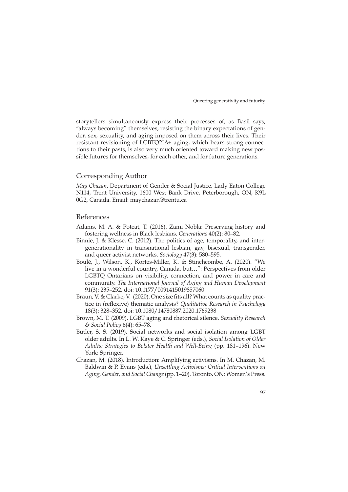storytellers simultaneously express their processes of, as Basil says, "always becoming" themselves, resisting the binary expectations of gender, sex, sexuality, and aging imposed on them across their lives. Their resistant revisioning of LGBTQ2IA+ aging, which bears strong connections to their pasts, is also very much oriented toward making new possible futures for themselves, for each other, and for future generations.

# Corresponding Author

*May Chazan*, Department of Gender & Social Justice, Lady Eaton College N114, Trent University, 1600 West Bank Drive, Peterborough, ON, K9L 0G2, Canada. Email: [maychazan@trentu.ca](mailto:maychazan@trentu.ca)

# References

- Adams, M. A. & Poteat, T. (2016). Zami Nobla: Preserving history and fostering wellness in Black lesbians. *Generations* 40(2): 80–82.
- Binnie, J. & Klesse, C. (2012). The politics of age, temporality, and intergenerationality in transnational lesbian, gay, bisexual, transgender, and queer activist networks. *Sociology* 47(3): 580–595.
- Boulé, J., Wilson, K., Kortes-Miller, K. & Stinchcombe, A. (2020). "We live in a wonderful country, Canada, but…": Perspectives from older LGBTQ Ontarians on visibility, connection, and power in care and community. *The International Journal of Aging and Human Development* 91(3): 235–252. doi: 10.1177/0091415019857060
- Braun, V. & Clarke, V. (2020). One size fits all? What counts as quality practice in (reflexive) thematic analysis? *Qualitative Research in Psychology* 18(3): 328–352. doi: 10.1080/14780887.2020.1769238
- Brown, M. T. (2009). LGBT aging and rhetorical silence. *Sexuality Research & Social Policy* 6(4): 65–78.
- Butler, S. S. (2019). Social networks and social isolation among LGBT older adults. In L. W. Kaye & C. Springer (eds.), *Social Isolation of Older Adults: Strategies to Bolster Health and Well-Being* (pp. 181–196). New York: Springer.
- Chazan, M. (2018). Introduction: Amplifying activisms. In M. Chazan, M. Baldwin & P. Evans (eds.), *Unsettling Activisms: Critical Interventions on Aging, Gender, and Social Change* (pp. 1–20). Toronto, ON: Women's Press.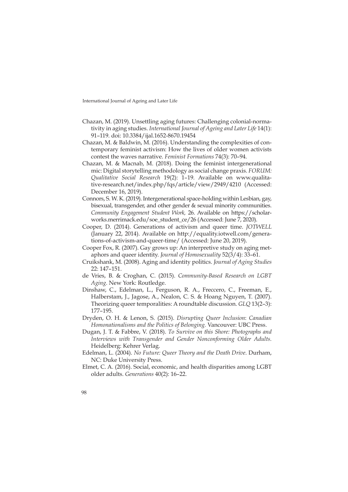- Chazan, M. (2019). Unsettling aging futures: Challenging colonial-normativity in aging studies. *International Journal of Ageing and Later Life* 14(1): 91–119. doi: 10.3384/ijal.1652-8670.19454
- Chazan, M. & Baldwin, M. (2016). Understanding the complexities of contemporary feminist activism: How the lives of older women activists contest the waves narrative. *Feminist Formations* 74(3): 70–94.
- Chazan, M. & Macnab, M. (2018). Doing the feminist intergenerational mic: Digital storytelling methodology as social change praxis. *FORUM: Qualitative Social Research* 19(2): 1–19. Available on [www.qualita](http://www.qualitative-research.net/index.php/fqs/article/view/2949/4210)[tive-research.net/index.php/fqs/article/view/2949/4210](http://www.qualitative-research.net/index.php/fqs/article/view/2949/4210) (Accessed: December 16, 2019).
- Connors, S. W. K. (2019). Intergenerational space-holding within Lesbian, gay, bisexual, transgender, and other gender & sexual minority communities. *Community Engagement Student Work,* 26. Available on [https://scholar](https://scholarworks.merrimack.edu/soe_student_ce/26)[works.merrimack.edu/soe\\_student\\_ce/26](https://scholarworks.merrimack.edu/soe_student_ce/26) (Accessed: June 7, 2020).
- Cooper, D. (2014). Generations of activism and queer time. *JOTWELL*  (January 22, 2014). Available on [http://equality.iotwell.com/genera](http://equality.iotwell.com/generations-of-activism-and-queer-time/)[tions-of-activism-and-queer-time/](http://equality.iotwell.com/generations-of-activism-and-queer-time/) (Accessed: June 20, 2019).
- Cooper Fox, R. (2007). Gay grows up: An interpretive study on aging metaphors and queer identity. *Journal of Homosexuality* 52(3/4): 33–61.
- Cruikshank, M. (2008). Aging and identity politics. *Journal of Aging Studies*  22: 147–151.
- de Vries, B. & Croghan, C. (2015). *Community-Based Research on LGBT Aging.* New York: Routledge.
- Dinshaw, C., Edelman, L., Ferguson, R. A., Freccero, C., Freeman, E., Halberstam, J., Jagose, A., Nealon, C. S. & Hoang Nguyen, T. (2007). Theorizing queer temporalities: A roundtable discussion. *GLQ* 13(2–3): 177–195.
- Dryden, O. H. & Lenon, S. (2015). *Disrupting Queer Inclusion*: *Canadian Homonationalisms and the Politics of Belonging.* Vancouver: UBC Press.
- Dugan, J. T. & Fabbre, V. (2018). *To Survive on this Shore: Photographs and Interviews with Transgender and Gender Nonconforming Older Adults.*  Heidelberg: Kehrer Verlag.
- Edelman, L. (2004). *No Future: Queer Theory and the Death Drive*. Durham, NC: Duke University Press.
- Elmet, C. A. (2016). Social, economic, and health disparities among LGBT older adults. *Generations* 40(2): 16–22.
- 98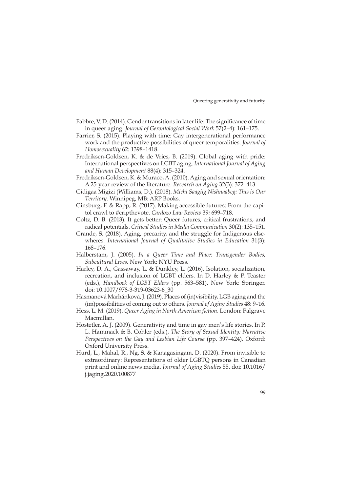- Fabbre, V. D. (2014). Gender transitions in later life: The significance of time in queer aging. *Journal of Gerontological Social Work* 57(2–4): 161–175.
- Farrier, S. (2015). Playing with time: Gay intergenerational performance work and the productive possibilities of queer temporalities. *Journal of Homosexuality* 62: 1398–1418.
- Fredriksen-Goldsen, K. & de Vries, B. (2019). Global aging with pride: International perspectives on LGBT aging. *International Journal of Aging and Human Development* 88(4): 315–324.
- Fredriksen-Goldsen, K. & Muraco, A. (2010). Aging and sexual orientation: A 25-year review of the literature. *Research on Aging* 32(3): 372–413.
- Gidigaa Migizi (Williams, D.). (2018). *Michi Saagiig Nishnaabeg: This is Our Territory.* Winnipeg, MB: ARP Books.
- Ginsburg, F. & Rapp, R. (2017). Making accessible futures: From the capitol crawl to #cripthevote. *Cardozo Law Review* 39*:* 699–718.
- Goltz, D. B. (2013). It gets better: Queer futures, critical frustrations, and radical potentials. *Critical Studies in Media Communication* 30(2): 135–151.
- Grande, S. (2018). Aging, precarity, and the struggle for Indigenous elsewheres. *International Journal of Qualitative Studies in Education* 31(3): 168–176.
- Halberstam, J. (2005). *In a Queer Time and Place: Transgender Bodies, Subcultural Lives.* New York: NYU Press.
- Harley, D. A., Gassaway, L. & Dunkley, L. (2016). Isolation, socialization, recreation, and inclusion of LGBT elders. In D. Harley & P. Teaster (eds.), *Handbook of LGBT Elders* (pp. 563–581). New York: Springer. doi: 10.1007/978-3-319-03623-6\_30
- Hasmanová Marhánková, J. (2019). Places of (in)visibility, LGB aging and the (im)possibilities of coming out to others. *Journal of Aging Studies* 48: 9–16.
- Hess, L. M. (2019). *Queer Aging in North American fiction*. London: Palgrave Macmillan.
- Hostetler, A. J. (2009). Generativity and time in gay men's life stories. In P. L. Hammack & B. Cohler (eds.), *The Story of Sexual Identity: Narrative Perspectives on the Gay and Lesbian Life Course* (pp. 397–424). Oxford: Oxford University Press.
- Hurd, L., Mahal, R., Ng, S. & Kanagasingam, D. (2020). From invisible to extraordinary: Representations of older LGBTQ persons in Canadian print and online news media. *Journal of Aging Studies* 55. doi: 10.1016/ j.jaging.2020.100877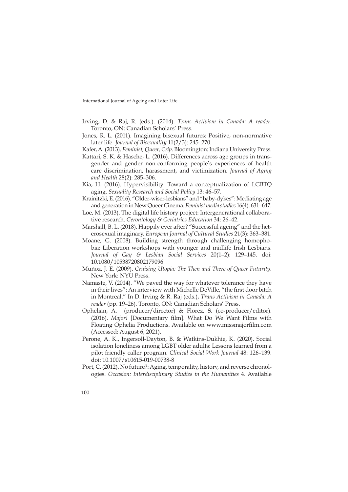- Irving, D. & Raj, R. (eds.). (2014). *Trans Activism in Canada: A reader*. Toronto, ON: Canadian Scholars' Press.
- Jones, R. L. (2011). Imagining bisexual futures: Positive, non-normative later life. *Journal of Bisexuality* 11(2/3): 245–270.
- Kafer, A. (2013). *Feminist, Queer, Crip*. Bloomington: Indiana University Press.
- Kattari, S. K. & Hasche, L. (2016). Differences across age groups in transgender and gender non-conforming people's experiences of health care discrimination, harassment, and victimization. *Journal of Aging and Health* 28(2): 285–306.
- Kia, H. (2016). Hypervisibility: Toward a conceptualization of LGBTQ aging. *Sexuality Research and Social Policy* 13: 46–57.
- Krainitzki, E. (2016). "Older-wiser-lesbians" and "baby-dykes": Mediating age and generation in New Queer Cinema. *Feminist media studies* 16(4): 631–647.
- Loe, M. (2013). The digital life history project: Intergenerational collaborative research. *Gerontology & Geriatrics Education* 34: 26–42.
- Marshall, B. L. (2018). Happily ever after? "Successful ageing" and the heterosexual imaginary. *European Journal of Cultural Studies* 21(3): 363–381.
- Moane, G. (2008). Building strength through challenging homophobia: Liberation workshops with younger and midlife Irish Lesbians. *Journal of Gay & Lesbian Social Services* 20(1–2): 129–145. doi: 10.1080/10538720802179096
- Muñoz, J. E. (2009). *Cruising Utopia: The Then and There of Queer Futurity.* New York: NYU Press.
- Namaste, V. (2014). "We paved the way for whatever tolerance they have in their lives": An interview with Michelle DeVille, "the first door bitch in Montreal." In D. Irving & R. Raj (eds.), *Trans Activism in Canada: A reader* (pp. 19–26). Toronto, ON: Canadian Scholars' Press.
- Ophelian, A. (producer/director) & Florez, S. (co-producer/editor). (2016). *Major!* [Documentary film]. What Do We Want Films with Floating Ophelia Productions. Available on [www.missmajorfilm.com](http://www.missmajorfilm.com) (Accessed: August 6, 2021).
- Perone, A. K., Ingersoll-Dayton, B. & Watkins-Dukhie, K. (2020). Social isolation loneliness among LGBT older adults: Lessons learned from a pilot friendly caller program. *Clinical Social Work Journal* 48: 126–139. doi: 10.1007/s10615-019-00738-8
- Port, C. (2012). No future?: Aging, temporality, history, and reverse chronologies. *Occasion: Interdisciplinary Studies in the Humanities* 4. Available
- 100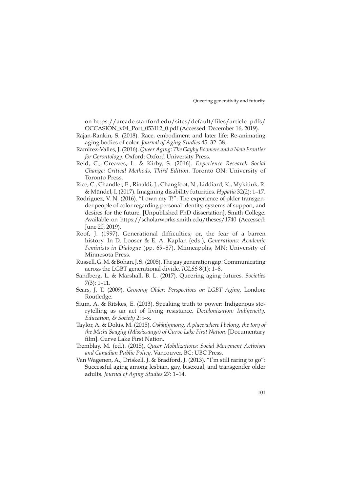on [https://arcade.stanford.edu/sites/default/files/article\\_pdfs/](https://arcade.stanford.edu/sites/default/files/article_pdfs/OCCASION_v04_Port_053112_0.pdf) [OCCASION\\_v04\\_Port\\_053112\\_0.pdf](https://arcade.stanford.edu/sites/default/files/article_pdfs/OCCASION_v04_Port_053112_0.pdf) (Accessed: December 16, 2019).

- Rajan-Rankin, S. (2018). Race, embodiment and later life: Re-animating aging bodies of color. *Journal of Aging Studies* 45: 32–38.
- Ramirez-Valles, J. (2016). *Queer Aging: The Gayby Boomers and a New Frontier for Gerontology.* Oxford: Oxford University Press.
- Reid, C., Greaves, L. & Kirby, S. (2016). *Experience Research Social Change: Critical Methods, Third Edition.* Toronto ON: University of Toronto Press.
- Rice, C., Chandler, E., Rinaldi, J., Changfoot, N., Liddiard, K., Mykitiuk, R. & Mündel, I. (2017). Imagining disability futurities. *Hypatia* 32(2): 1–17.
- Rodriguez, V. N. (2016). "I own my T!": The experience of older transgender people of color regarding personal identity, systems of support, and desires for the future. [Unpublished PhD dissertation]. Smith College. Available on <https://scholarworks.smith.edu/theses/1740> (Accessed: June 20, 2019).
- Roof, J. (1997). Generational difficulties; or, the fear of a barren history. In D. Looser & E. A. Kaplan (eds.), *Generations: Academic Feminists in Dialogue* (pp. 69–87). Minneapolis, MN: University of Minnesota Press.
- Russell, G. M. & Bohan, J. S. (2005). The gay generation gap: Communicating across the LGBT generational divide. *IGLSS* 8(1): 1–8.
- Sandberg, L. & Marshall, B. L. (2017). Queering aging futures. *Societies* 7(3): 1–11.
- Sears, J. T. (2009). *Growing Older: Perspectives on LGBT Aging.* London: Routledge.
- Sium, A. & Ritskes, E. (2013). Speaking truth to power: Indigenous storytelling as an act of living resistance. *Decolonization: Indigeneity, Education, & Society* 2: i–x.
- Taylor, A. & Dokis, M. (2015). *Oshkiigmong: A place where I belong, the tory of the Michi Saagiig (Mississauga) of Curve Lake First Nation.* [Documentary film]. Curve Lake First Nation.
- Tremblay, M. (ed.). (2015). *Queer Mobilizations: Social Movement Activism and Canadian Public Policy.* Vancouver, BC: UBC Press.
- Van Wagenen, A., Driskell, J. & Bradford, J. (2013). "I'm still raring to go": Successful aging among lesbian, gay, bisexual, and transgender older adults. *Journal of Aging Studies* 27: 1–14.